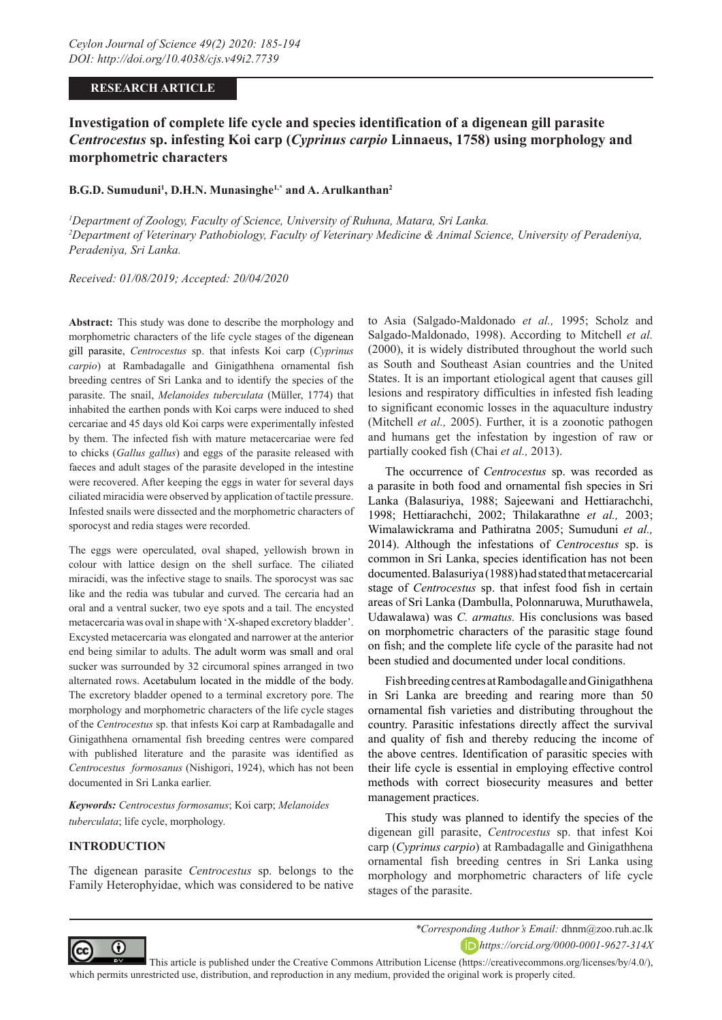### **RESEARCH ARTICLE**

# **Investigation of complete life cycle and species identification of a digenean gill parasite**  *Centrocestus* **sp. infesting Koi carp (***Cyprinus carpio* **Linnaeus, 1758) using morphology and morphometric characters**

### **B.G.D. Sumuduni1 , D.H.N. Munasinghe1,\* and A. Arulkanthan2**

*1 Department of Zoology, Faculty of Science, University of Ruhuna, Matara, Sri Lanka. 2 Department of Veterinary Pathobiology, Faculty of Veterinary Medicine & Animal Science, University of Peradeniya, Peradeniya, Sri Lanka.*

*Received: 01/08/2019; Accepted: 20/04/2020*

**Abstract:** This study was done to describe the morphology and morphometric characters of the life cycle stages of the digenean gill parasite, *Centrocestus* sp. that infests Koi carp (*Cyprinus carpio*) at Rambadagalle and Ginigathhena ornamental fish breeding centres of Sri Lanka and to identify the species of the parasite. The snail, *Melanoides tuberculata* (Müller, 1774) that inhabited the earthen ponds with Koi carps were induced to shed cercariae and 45 days old Koi carps were experimentally infested by them. The infected fish with mature metacercariae were fed to chicks (*Gallus gallus*) and eggs of the parasite released with faeces and adult stages of the parasite developed in the intestine were recovered. After keeping the eggs in water for several days ciliated miracidia were observed by application of tactile pressure. Infested snails were dissected and the morphometric characters of sporocyst and redia stages were recorded.

The eggs were operculated, oval shaped, yellowish brown in colour with lattice design on the shell surface. The ciliated miracidi, was the infective stage to snails. The sporocyst was sac like and the redia was tubular and curved. The cercaria had an oral and a ventral sucker, two eye spots and a tail. The encysted metacercaria was oval in shape with 'X-shaped excretory bladder'. Excysted metacercaria was elongated and narrower at the anterior end being similar to adults. The adult worm was small and oral sucker was surrounded by 32 circumoral spines arranged in two alternated rows. Acetabulum located in the middle of the body. The excretory bladder opened to a terminal excretory pore. The morphology and morphometric characters of the life cycle stages of the *Centrocestus* sp. that infests Koi carp at Rambadagalle and Ginigathhena ornamental fish breeding centres were compared with published literature and the parasite was identified as *Centrocestus formosanus* (Nishigori, 1924), which has not been documented in Sri Lanka earlier.

*Keywords: Centrocestus formosanus*; Koi carp; *Melanoides tuberculata*; life cycle, morphology.

#### **INTRODUCTION**

The digenean parasite *Centrocestus* sp. belongs to the Family Heterophyidae, which was considered to be native

to Asia (Salgado-Maldonado *et al.,* 1995; Scholz and Salgado-Maldonado, 1998). According to Mitchell *et al.* (2000), it is widely distributed throughout the world such as South and Southeast Asian countries and the United States. It is an important etiological agent that causes gill lesions and respiratory difficulties in infested fish leading to significant economic losses in the aquaculture industry (Mitchell *et al.,* 2005). Further, it is a zoonotic pathogen and humans get the infestation by ingestion of raw or partially cooked fish (Chai *et al.,* 2013).

The occurrence of *Centrocestus* sp. was recorded as a parasite in both food and ornamental fish species in Sri Lanka (Balasuriya, 1988; Sajeewani and Hettiarachchi, 1998; Hettiarachchi, 2002; Thilakarathne *et al.,* 2003; Wimalawickrama and Pathiratna 2005; Sumuduni *et al.,* 2014). Although the infestations of *Centrocestus* sp. is common in Sri Lanka, species identification has not been documented. Balasuriya (1988) had stated that metacercarial stage of *Centrocestus* sp. that infest food fish in certain areas of Sri Lanka (Dambulla, Polonnaruwa, Muruthawela, Udawalawa) was *C. armatus.* His conclusions was based on morphometric characters of the parasitic stage found on fish; and the complete life cycle of the parasite had not been studied and documented under local conditions.

Fish breeding centres at Rambodagalle and Ginigathhena in Sri Lanka are breeding and rearing more than 50 ornamental fish varieties and distributing throughout the country. Parasitic infestations directly affect the survival and quality of fish and thereby reducing the income of the above centres. Identification of parasitic species with their life cycle is essential in employing effective control methods with correct biosecurity measures and better management practices.

This study was planned to identify the species of the digenean gill parasite, *Centrocestus* sp. that infest Koi carp (*Cyprinus carpio*) at Rambadagalle and Ginigathhena ornamental fish breeding centres in Sri Lanka using morphology and morphometric characters of life cycle stages of the parasite.



*https://orcid.org/0000-0001-9627-314X*

 This article is published under the Creative Commons Attribution License (https://creativecommons.org/licenses/by/4.0/), which permits unrestricted use, distribution, and reproduction in any medium, provided the original work is properly cited.

*<sup>\*</sup>Corresponding Author's Email:* dhnm@zoo.ruh.ac.lk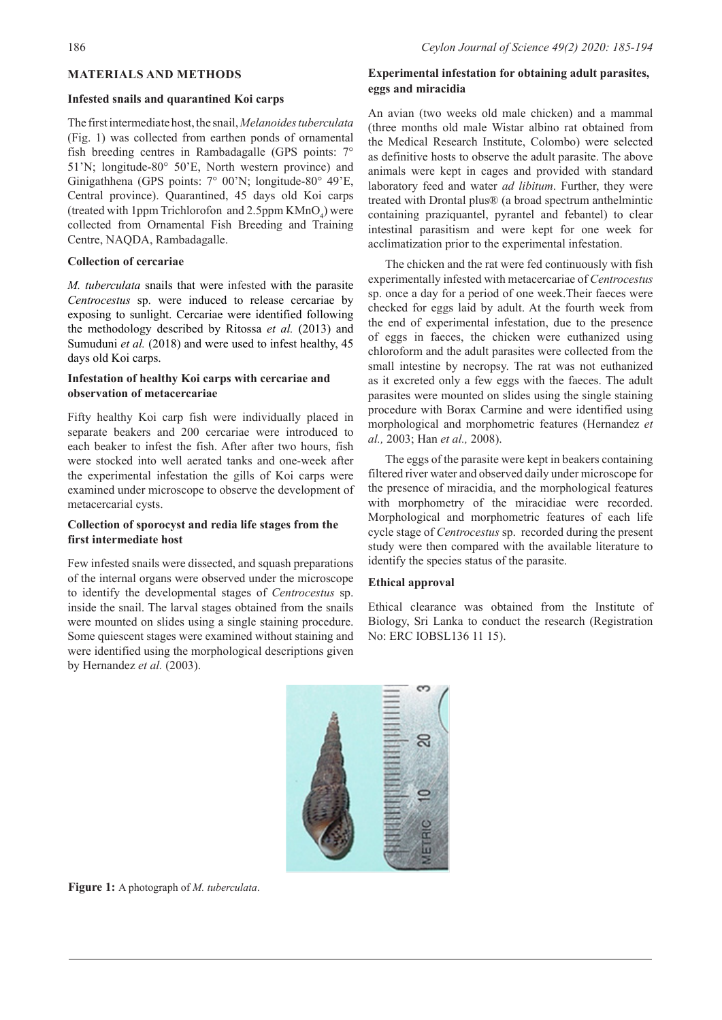### **MATERIALS AND METHODS**

#### **Infested snails and quarantined Koi carps**

The first intermediate host, the snail, *Melanoides tuberculata*  (Fig. 1) was collected from earthen ponds of ornamental fish breeding centres in Rambadagalle (GPS points: 7° 51'N; longitude-80° 50'E, North western province) and Ginigathhena (GPS points: 7° 00'N; longitude-80° 49'E, Central province). Quarantined, 45 days old Koi carps (treated with 1ppm Trichlorofon and 2.5ppm  $KMnO<sub>4</sub>$ ) were collected from Ornamental Fish Breeding and Training Centre, NAQDA, Rambadagalle.

#### **Collection of cercariae**

*M. tuberculata* snails that were infested with the parasite *Centrocestus* sp. were induced to release cercariae by exposing to sunlight. Cercariae were identified following the methodology described by Ritossa *et al.* (2013) and Sumuduni *et al.* (2018) and were used to infest healthy, 45 days old Koi carps.

## **Infestation of healthy Koi carps with cercariae and observation of metacercariae**

Fifty healthy Koi carp fish were individually placed in separate beakers and 200 cercariae were introduced to each beaker to infest the fish. After after two hours, fish were stocked into well aerated tanks and one-week after the experimental infestation the gills of Koi carps were examined under microscope to observe the development of metacercarial cysts.

## **Collection of sporocyst and redia life stages from the first intermediate host**

Few infested snails were dissected, and squash preparations of the internal organs were observed under the microscope to identify the developmental stages of *Centrocestus* sp. inside the snail. The larval stages obtained from the snails were mounted on slides using a single staining procedure. Some quiescent stages were examined without staining and were identified using the morphological descriptions given by Hernandez *et al.* (2003).

## **Experimental infestation for obtaining adult parasites, eggs and miracidia**

An avian (two weeks old male chicken) and a mammal (three months old male Wistar albino rat obtained from the Medical Research Institute, Colombo) were selected as definitive hosts to observe the adult parasite. The above animals were kept in cages and provided with standard laboratory feed and water *ad libitum*. Further, they were treated with Drontal plus® (a broad spectrum anthelmintic containing praziquantel, pyrantel and febantel) to clear intestinal parasitism and were kept for one week for acclimatization prior to the experimental infestation.

The chicken and the rat were fed continuously with fish experimentally infested with metacercariae of *Centrocestus* sp. once a day for a period of one week.Their faeces were checked for eggs laid by adult. At the fourth week from the end of experimental infestation, due to the presence of eggs in faeces, the chicken were euthanized using chloroform and the adult parasites were collected from the small intestine by necropsy. The rat was not euthanized as it excreted only a few eggs with the faeces. The adult parasites were mounted on slides using the single staining procedure with Borax Carmine and were identified using morphological and morphometric features (Hernandez *et al.,* 2003; Han *et al.,* 2008).

The eggs of the parasite were kept in beakers containing filtered river water and observed daily under microscope for the presence of miracidia, and the morphological features with morphometry of the miracidiae were recorded. Morphological and morphometric features of each life cycle stage of *Centrocestus* sp. recorded during the present study were then compared with the available literature to identify the species status of the parasite.

#### **Ethical approval**

Ethical clearance was obtained from the Institute of Biology, Sri Lanka to conduct the research (Registration No: ERC IOBSL136 11 15).



**Figure 1:** A photograph of *M. tuberculata*.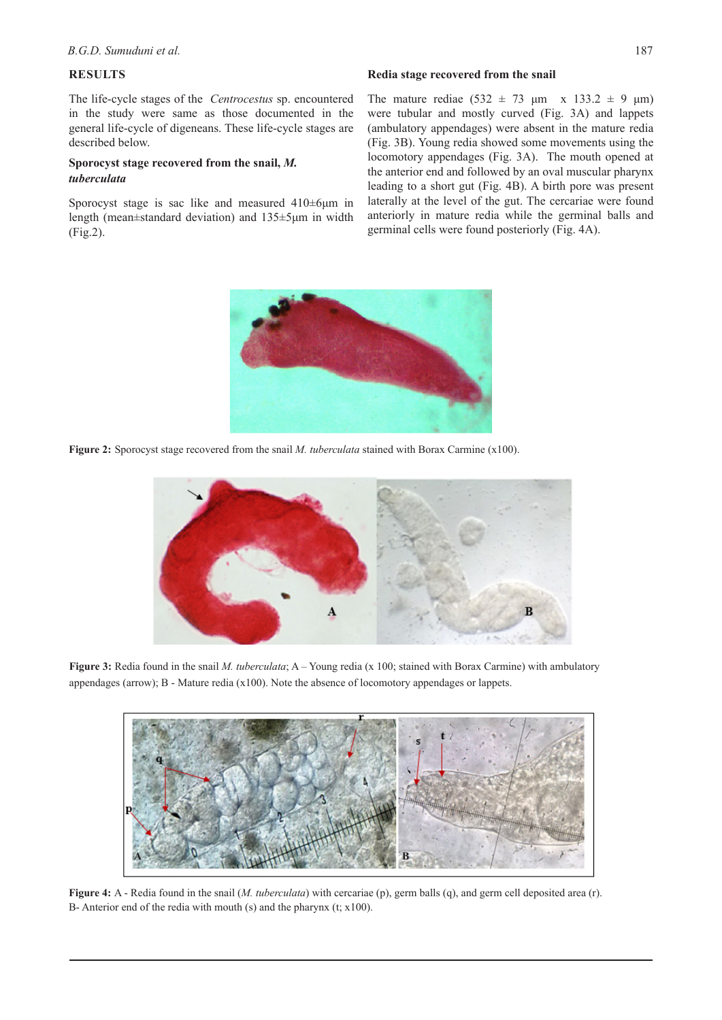## **RESULTS**

The life-cycle stages of the *Centrocestus* sp. encountered in the study were same as those documented in the general life-cycle of digeneans. These life-cycle stages are described below.

## **Sporocyst stage recovered from the snail,** *M. tuberculata*

Sporocyst stage is sac like and measured 410±6μm in length (mean±standard deviation) and 135±5μm in width (Fig.2).

#### **Redia stage recovered from the snail**

The mature rediae  $(532 \pm 73 \text{ }\mu\text{m} \times 133.2 \pm 9 \text{ }\mu\text{m})$ were tubular and mostly curved (Fig. 3A) and lappets (ambulatory appendages) were absent in the mature redia (Fig. 3B). Young redia showed some movements using the locomotory appendages (Fig. 3A). The mouth opened at the anterior end and followed by an oval muscular pharynx leading to a short gut (Fig. 4B). A birth pore was present laterally at the level of the gut. The cercariae were found anteriorly in mature redia while the germinal balls and germinal cells were found posteriorly (Fig. 4A).



**Figure 2:** Sporocyst stage recovered from the snail *M. tuberculata* stained with Borax Carmine (x100).



**Figure 3:** Redia found in the snail *M. tuberculata*; A – Young redia (x 100; stained with Borax Carmine) with ambulatory appendages (arrow); B - Mature redia (x100). Note the absence of locomotory appendages or lappets.



**Figure 4:** A - Redia found in the snail (*M. tuberculata*) with cercariae (p), germ balls (q), and germ cell deposited area (r). B- Anterior end of the redia with mouth (s) and the pharynx (t; x100).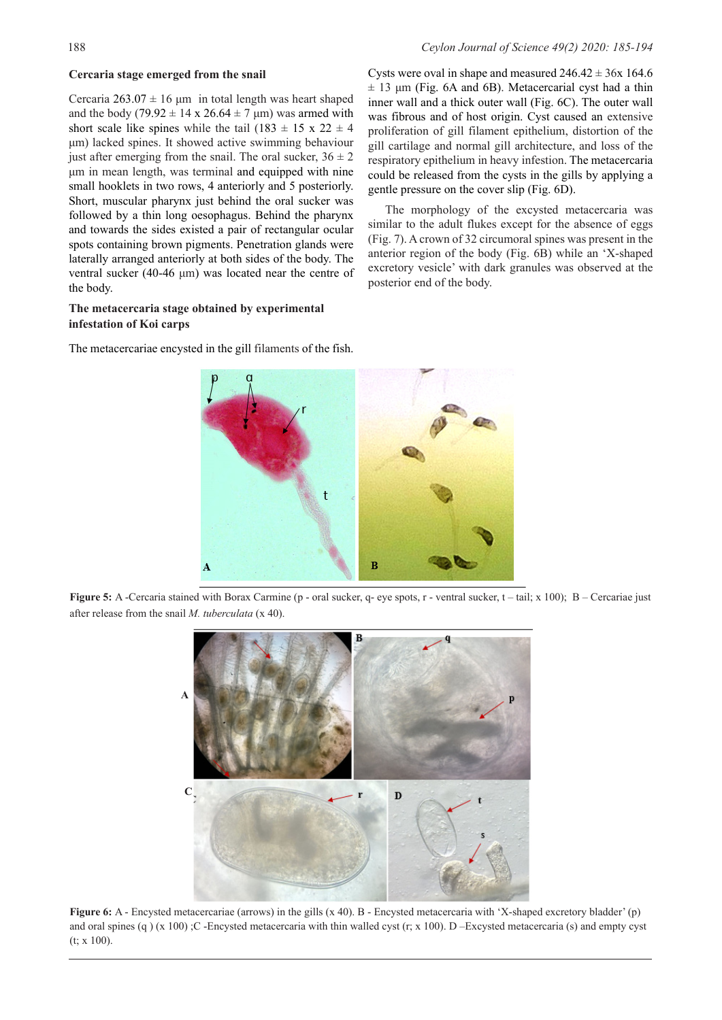### **Cercaria stage emerged from the snail**

Cercaria  $263.07 \pm 16$  μm in total length was heart shaped and the body (79.92  $\pm$  14 x 26.64  $\pm$  7 µm) was armed with short scale like spines while the tail (183  $\pm$  15 x 22  $\pm$  4 μm) lacked spines. It showed active swimming behaviour just after emerging from the snail. The oral sucker,  $36 \pm 2$ μm in mean length, was terminal and equipped with nine small hooklets in two rows, 4 anteriorly and 5 posteriorly. Short, muscular pharynx just behind the oral sucker was followed by a thin long oesophagus. Behind the pharynx and towards the sides existed a pair of rectangular ocular spots containing brown pigments. Penetration glands were laterally arranged anteriorly at both sides of the body. The ventral sucker (40-46 μm) was located near the centre of the body.

## **The metacercaria stage obtained by experimental infestation of Koi carps**

The metacercariae encysted in the gill filaments of the fish.



**Figure 5:** A -Cercaria stained with Borax Carmine (p - oral sucker, q- eye spots, r - ventral sucker, t – tail; x 100); B – Cercariae just after release from the snail *M. tuberculata* (x 40).



**Figure 6:** A - Encysted metacercariae (arrows) in the gills (x 40). B - Encysted metacercaria with 'X-shaped excretory bladder' (p) and oral spines (q)  $(x 100)$ ; C -Encysted metacercaria with thin walled cyst (r;  $x 100$ ). D –Excysted metacercaria (s) and empty cyst (t; x 100).

Cysts were oval in shape and measured  $246.42 \pm 36x$  164.6  $\pm$  13 μm (Fig. 6A and 6B). Metacercarial cyst had a thin inner wall and a thick outer wall (Fig. 6C). The outer wall was fibrous and of host origin. Cyst caused an extensive proliferation of gill filament epithelium, distortion of the gill cartilage and normal gill architecture, and loss of the respiratory epithelium in heavy infestion. The metacercaria could be released from the cysts in the gills by applying a gentle pressure on the cover slip (Fig. 6D).

The morphology of the excysted metacercaria was similar to the adult flukes except for the absence of eggs (Fig. 7). A crown of 32 circumoral spines was present in the anterior region of the body (Fig. 6B) while an 'X-shaped excretory vesicle' with dark granules was observed at the posterior end of the body.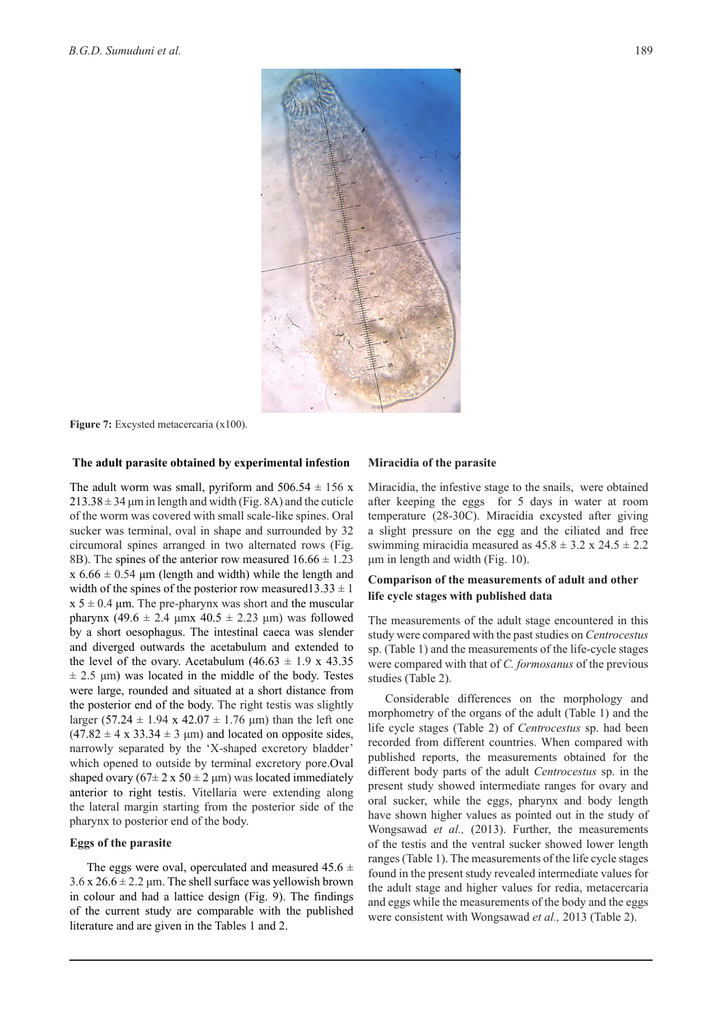

**Figure 7:** Excysted metacercaria (x100).

#### **The adult parasite obtained by experimental infestion**

The adult worm was small, pyriform and  $506.54 \pm 156$  x  $213.38 \pm 34$  µm in length and width (Fig. 8A) and the cuticle of the worm was covered with small scale-like spines. Oral sucker was terminal, oval in shape and surrounded by 32 circumoral spines arranged in two alternated rows (Fig. 8B). The spines of the anterior row measured  $16.66 \pm 1.23$ x  $6.66 \pm 0.54$  µm (length and width) while the length and width of the spines of the posterior row measured13.33  $\pm$  1  $x 5 \pm 0.4$  μm. The pre-pharynx was short and the muscular pharynx (49.6 ± 2.4 μmx 40.5 ± 2.23 μm) was followed by a short oesophagus. The intestinal caeca was slender and diverged outwards the acetabulum and extended to the level of the ovary. Acetabulum  $(46.63 \pm 1.9 \times 43.35)$  $\pm$  2.5 μm) was located in the middle of the body. Testes were large, rounded and situated at a short distance from the posterior end of the body. The right testis was slightly larger (57.24  $\pm$  1.94 x 42.07  $\pm$  1.76 µm) than the left one  $(47.82 \pm 4 \times 33.34 \pm 3 \mu m)$  and located on opposite sides, narrowly separated by the 'X-shaped excretory bladder' which opened to outside by terminal excretory pore.Oval shaped ovary  $(67\pm 2 \times 50 \pm 2 \mu m)$  was located immediately anterior to right testis. Vitellaria were extending along the lateral margin starting from the posterior side of the pharynx to posterior end of the body.

#### **Eggs of the parasite**

The eggs were oval, operculated and measured  $45.6 \pm$  $3.6 \times 26.6 \pm 2.2 \mu$ m. The shell surface was yellowish brown in colour and had a lattice design (Fig. 9). The findings of the current study are comparable with the published literature and are given in the Tables 1 and 2.

#### **Miracidia of the parasite**

Miracidia, the infestive stage to the snails, were obtained after keeping the eggs for 5 days in water at room temperature (28-30C). Miracidia excysted after giving a slight pressure on the egg and the ciliated and free swimming miracidia measured as  $45.8 \pm 3.2 \times 24.5 \pm 2.2$ μm in length and width (Fig. 10).

### **Comparison of the measurements of adult and other life cycle stages with published data**

The measurements of the adult stage encountered in this study were compared with the past studies on *Centrocestus* sp. (Table 1) and the measurements of the life-cycle stages were compared with that of *C. formosanus* of the previous studies (Table 2).

Considerable differences on the morphology and morphometry of the organs of the adult (Table 1) and the life cycle stages (Table 2) of *Centrocestus* sp. had been recorded from different countries. When compared with published reports, the measurements obtained for the different body parts of the adult *Centrocestus* sp. in the present study showed intermediate ranges for ovary and oral sucker, while the eggs, pharynx and body length have shown higher values as pointed out in the study of Wongsawad *et al.,* (2013). Further, the measurements of the testis and the ventral sucker showed lower length ranges (Table 1). The measurements of the life cycle stages found in the present study revealed intermediate values for the adult stage and higher values for redia, metacercaria and eggs while the measurements of the body and the eggs were consistent with Wongsawad *et al.,* 2013 (Table 2).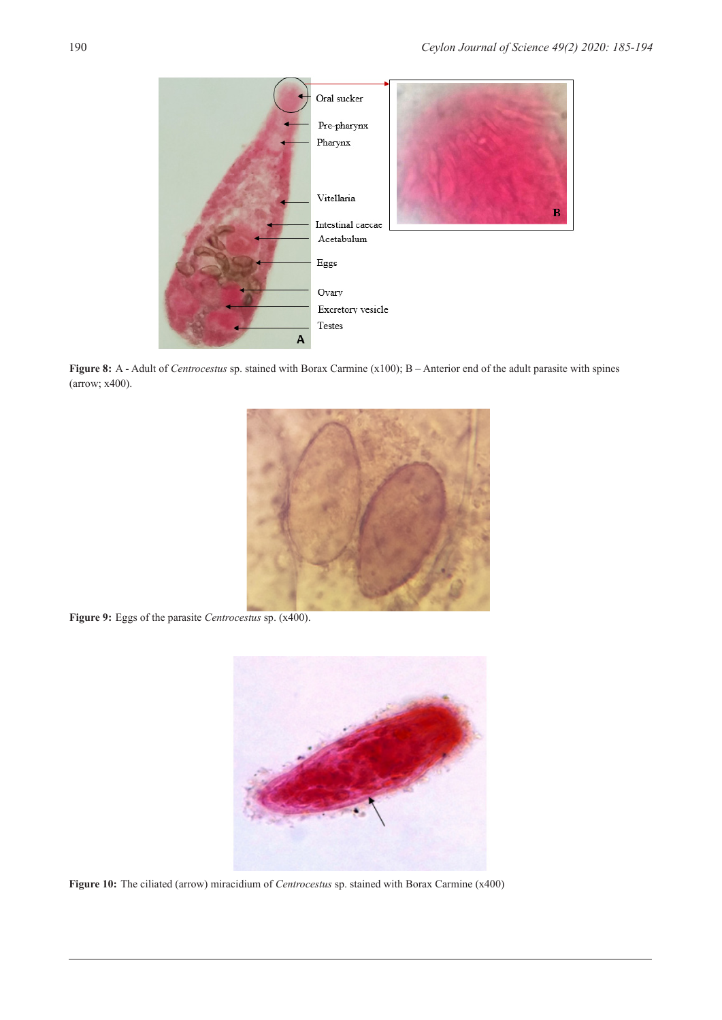

**Figure 8:** A - Adult of *Centrocestus* sp. stained with Borax Carmine (x100); B – Anterior end of the adult parasite with spines (arrow; x400).



**Figure 9:** Eggs of the parasite *Centrocestus* sp. (x400).



**Figure 10:** The ciliated (arrow) miracidium of *Centrocestus* sp. stained with Borax Carmine (x400)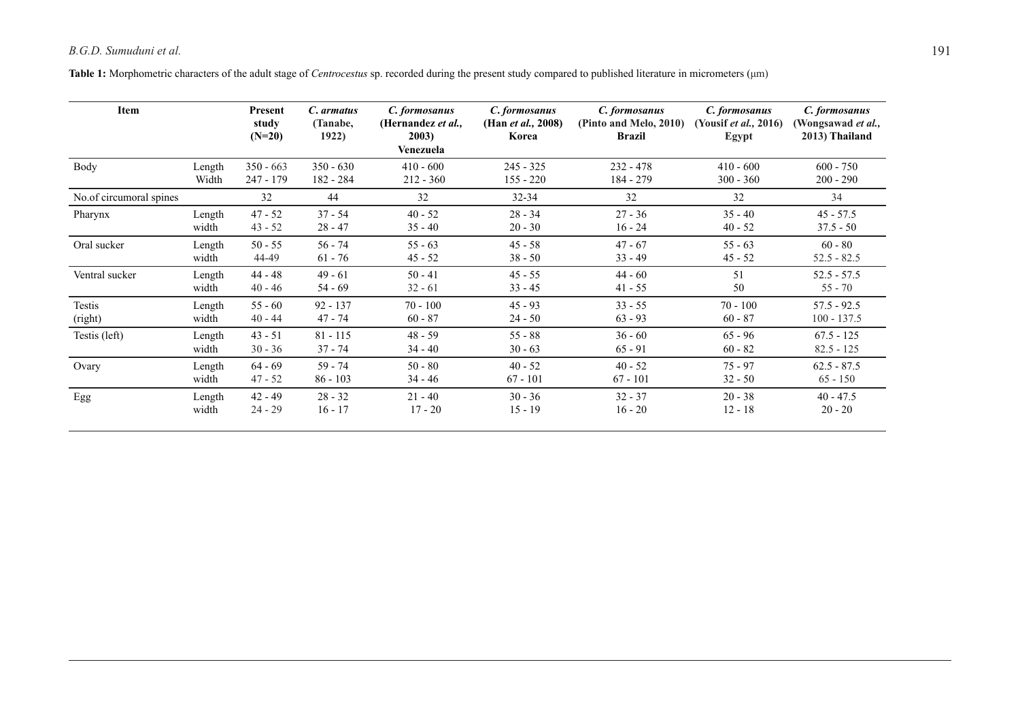**Table 1:** Morphometric characters of the adult stage of *Centrocestus* sp. recorded during the present study compared to published literature in micrometers (μm)

| Item                    |        | Present<br>study<br>$(N=20)$ | C. armatus<br>(Tanabe,<br>1922) | C. formosanus<br>(Hernandez et al.,<br>2003)<br>Venezuela | C. formosanus<br>(Han <i>et al.</i> , 2008)<br>Korea | C. formosanus<br>(Pinto and Melo, 2010)<br>Brazil | C. formosanus<br>(Yousif <i>et al.</i> , 2016)<br>Egypt | C. formosanus<br>(Wongsawad <i>et al.</i> ,<br>2013) Thailand |
|-------------------------|--------|------------------------------|---------------------------------|-----------------------------------------------------------|------------------------------------------------------|---------------------------------------------------|---------------------------------------------------------|---------------------------------------------------------------|
| Body                    | Length | $350 - 663$                  | $350 - 630$                     | $410 - 600$                                               | $245 - 325$                                          | $232 - 478$                                       | $410 - 600$                                             | $600 - 750$                                                   |
|                         | Width  | $247 - 179$                  | 182 - 284                       | $212 - 360$                                               | $155 - 220$                                          | 184 - 279                                         | $300 - 360$                                             | $200 - 290$                                                   |
| No.of circumoral spines |        | 32                           | 44                              | 32                                                        | $32 - 34$                                            | 32                                                | 32                                                      | 34                                                            |
| Pharynx                 | Length | $47 - 52$                    | $37 - 54$                       | $40 - 52$                                                 | $28 - 34$                                            | $27 - 36$                                         | $35 - 40$                                               | $45 - 57.5$                                                   |
|                         | width  | $43 - 52$                    | $28 - 47$                       | $35 - 40$                                                 | $20 - 30$                                            | $16 - 24$                                         | $40 - 52$                                               | $37.5 - 50$                                                   |
| Oral sucker             | Length | $50 - 55$                    | $56 - 74$                       | $55 - 63$                                                 | $45 - 58$                                            | $47 - 67$                                         | $55 - 63$                                               | $60 - 80$                                                     |
|                         | width  | 44-49                        | $61 - 76$                       | $45 - 52$                                                 | $38 - 50$                                            | $33 - 49$                                         | $45 - 52$                                               | $52.5 - 82.5$                                                 |
| Ventral sucker          | Length | $44 - 48$                    | $49 - 61$                       | $50 - 41$                                                 | $45 - 55$                                            | $44 - 60$                                         | 51                                                      | $52.5 - 57.5$                                                 |
|                         | width  | $40 - 46$                    | $54 - 69$                       | $32 - 61$                                                 | $33 - 45$                                            | $41 - 55$                                         | 50                                                      | $55 - 70$                                                     |
| Testis                  | Length | $55 - 60$                    | $92 - 137$                      | $70 - 100$                                                | $45 - 93$                                            | $33 - 55$                                         | $70 - 100$                                              | $57.5 - 92.5$                                                 |
| (right)                 | width  | $40 - 44$                    | $47 - 74$                       | $60 - 87$                                                 | $24 - 50$                                            | $63 - 93$                                         | $60 - 87$                                               | $100 - 137.5$                                                 |
| Testis (left)           | Length | $43 - 51$                    | $81 - 115$                      | $48 - 59$                                                 | $55 - 88$                                            | $36 - 60$                                         | $65 - 96$                                               | $67.5 - 125$                                                  |
|                         | width  | $30 - 36$                    | $37 - 74$                       | $34 - 40$                                                 | $30 - 63$                                            | $65 - 91$                                         | $60 - 82$                                               | $82.5 - 125$                                                  |
| Ovary                   | Length | $64 - 69$                    | $59 - 74$                       | $50 - 80$                                                 | $40 - 52$                                            | $40 - 52$                                         | $75 - 97$                                               | $62.5 - 87.5$                                                 |
|                         | width  | $47 - 52$                    | $86 - 103$                      | $34 - 46$                                                 | $67 - 101$                                           | $67 - 101$                                        | $32 - 50$                                               | $65 - 150$                                                    |
| Egg                     | Length | $42 - 49$                    | $28 - 32$                       | $21 - 40$                                                 | $30 - 36$                                            | $32 - 37$                                         | $20 - 38$                                               | $40 - 47.5$                                                   |
|                         | width  | $24 - 29$                    | $16 - 17$                       | $17 - 20$                                                 | $15 - 19$                                            | $16 - 20$                                         | $12 - 18$                                               | $20 - 20$                                                     |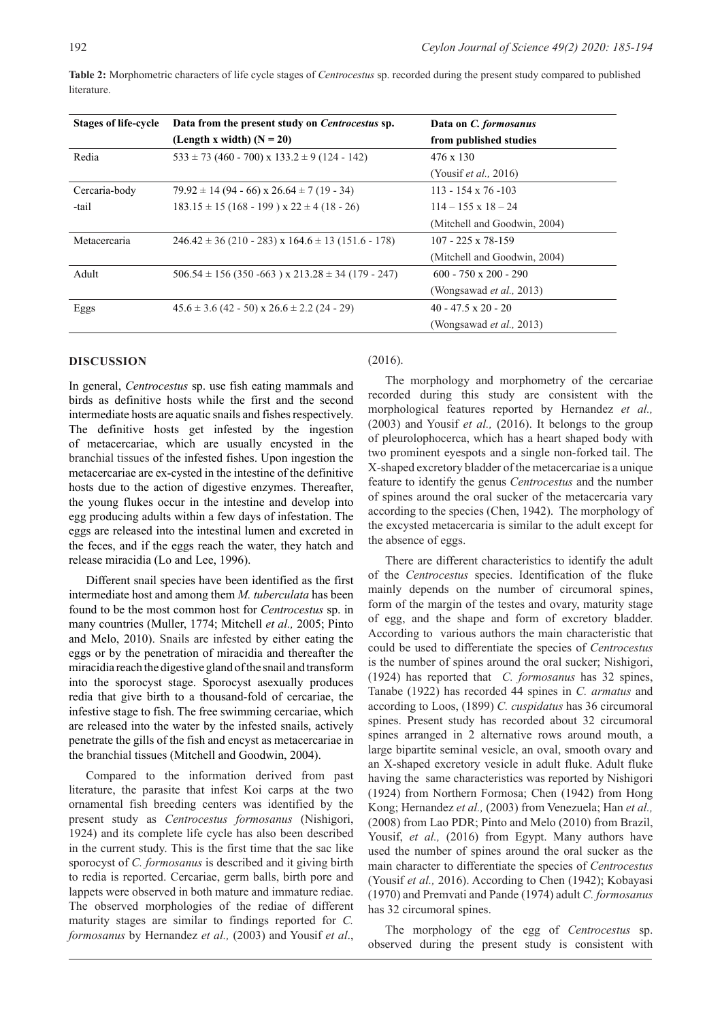| <b>Stages of life-cycle</b> | Data from the present study on Centrocestus sp.            | Data on C. formosanus            |  |  |
|-----------------------------|------------------------------------------------------------|----------------------------------|--|--|
|                             | (Length x width) $(N = 20)$                                | from published studies           |  |  |
| Redia                       | $533 \pm 73$ (460 - 700) x 133.2 $\pm$ 9 (124 - 142)       | 476 x 130                        |  |  |
|                             |                                                            | (Yousif <i>et al.</i> , 2016)    |  |  |
| Cercaria-body               | $79.92 \pm 14 (94 - 66) \times 26.64 \pm 7 (19 - 34)$      | $113 - 154 \times 76 - 103$      |  |  |
| -tail                       | $183.15 \pm 15 (168 - 199) \times 22 \pm 4 (18 - 26)$      | $114 - 155 \times 18 - 24$       |  |  |
|                             |                                                            | (Mitchell and Goodwin, 2004)     |  |  |
| Metacercaria                | $246.42 \pm 36$ (210 - 283) x 164.6 $\pm$ 13 (151.6 - 178) | $107 - 225 \times 78 - 159$      |  |  |
|                             |                                                            | (Mitchell and Goodwin, 2004)     |  |  |
| Adult                       | $506.54 \pm 156 (350 - 663)$ x $213.28 \pm 34 (179 - 247)$ | $600 - 750 \times 200 - 290$     |  |  |
|                             |                                                            | (Wongsawad <i>et al.</i> , 2013) |  |  |
| Eggs                        | $45.6 \pm 3.6$ (42 - 50) x 26.6 $\pm$ 2.2 (24 - 29)        | $40 - 47.5 \times 20 - 20$       |  |  |
|                             |                                                            | (Wongsawad <i>et al.</i> , 2013) |  |  |

**Table 2:** Morphometric characters of life cycle stages of *Centrocestus* sp. recorded during the present study compared to published literature.

#### **DISCUSSION**

In general, *Centrocestus* sp. use fish eating mammals and birds as definitive hosts while the first and the second intermediate hosts are aquatic snails and fishes respectively. The definitive hosts get infested by the ingestion of metacercariae, which are usually encysted in the branchial tissues of the infested fishes. Upon ingestion the metacercariae are ex-cysted in the intestine of the definitive hosts due to the action of digestive enzymes. Thereafter, the young flukes occur in the intestine and develop into egg producing adults within a few days of infestation. The eggs are released into the intestinal lumen and excreted in the feces, and if the eggs reach the water, they hatch and release miracidia (Lo and Lee, 1996).

Different snail species have been identified as the first intermediate host and among them *M. tuberculata* has been found to be the most common host for *Centrocestus* sp. in many countries (Muller, 1774; Mitchell *et al.,* 2005; Pinto and Melo, 2010). Snails are infested by either eating the eggs or by the penetration of miracidia and thereafter the miracidia reach the digestive gland of the snail and transform into the sporocyst stage. Sporocyst asexually produces redia that give birth to a thousand-fold of cercariae, the infestive stage to fish. The free swimming cercariae, which are released into the water by the infested snails, actively penetrate the gills of the fish and encyst as metacercariae in the branchial tissues (Mitchell and Goodwin, 2004).

Compared to the information derived from past literature, the parasite that infest Koi carps at the two ornamental fish breeding centers was identified by the present study as *Centrocestus formosanus* (Nishigori, 1924) and its complete life cycle has also been described in the current study. This is the first time that the sac like sporocyst of *C. formosanus* is described and it giving birth to redia is reported. Cercariae, germ balls, birth pore and lappets were observed in both mature and immature rediae. The observed morphologies of the rediae of different maturity stages are similar to findings reported for *C. formosanus* by Hernandez *et al.,* (2003) and Yousif *et al*.,

#### (2016).

The morphology and morphometry of the cercariae recorded during this study are consistent with the morphological features reported by Hernandez *et al.,* (2003) and Yousif *et al.,* (2016). It belongs to the group of pleurolophocerca, which has a heart shaped body with two prominent eyespots and a single non-forked tail. The X-shaped excretory bladder of the metacercariae is a unique feature to identify the genus *Centrocestus* and the number of spines around the oral sucker of the metacercaria vary according to the species (Chen, 1942). The morphology of the excysted metacercaria is similar to the adult except for the absence of eggs.

There are different characteristics to identify the adult of the *Centrocestus* species. Identification of the fluke mainly depends on the number of circumoral spines, form of the margin of the testes and ovary, maturity stage of egg, and the shape and form of excretory bladder. According to various authors the main characteristic that could be used to differentiate the species of *Centrocestus*  is the number of spines around the oral sucker; Nishigori, (1924) has reported that *C. formosanus* has 32 spines, Tanabe (1922) has recorded 44 spines in *C. armatus* and according to Loos, (1899) *C. cuspidatus* has 36 circumoral spines. Present study has recorded about 32 circumoral spines arranged in 2 alternative rows around mouth, a large bipartite seminal vesicle, an oval, smooth ovary and an X-shaped excretory vesicle in adult fluke. Adult fluke having the same characteristics was reported by Nishigori (1924) from Northern Formosa; Chen (1942) from Hong Kong; Hernandez *et al.,* (2003) from Venezuela; Han *et al.,* (2008) from Lao PDR; Pinto and Melo (2010) from Brazil, Yousif, *et al.*, (2016) from Egypt. Many authors have used the number of spines around the oral sucker as the main character to differentiate the species of *Centrocestus* (Yousif *et al.,* 2016). According to Chen (1942); Kobayasi (1970) and Premvati and Pande (1974) adult *C. formosanus* has 32 circumoral spines.

The morphology of the egg of *Centrocestus* sp. observed during the present study is consistent with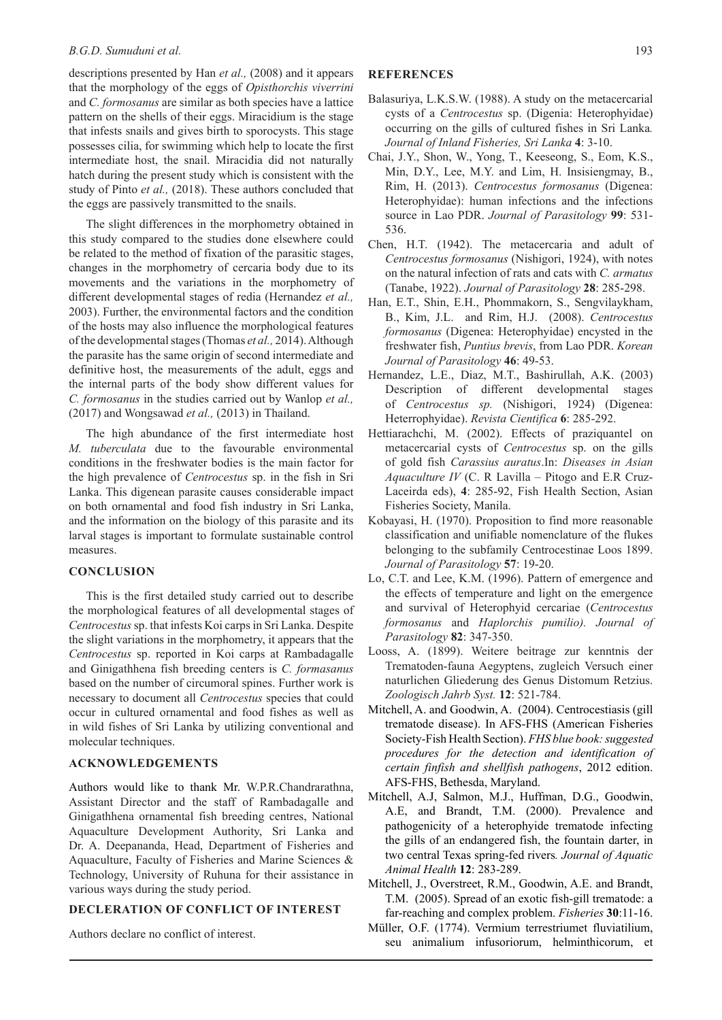#### *B.G.D. Sumuduni et al.* 193

descriptions presented by Han *et al.,* (2008) and it appears that the morphology of the eggs of *Opisthorchis viverrini*  and *C. formosanus* are similar as both species have a lattice pattern on the shells of their eggs. Miracidium is the stage that infests snails and gives birth to sporocysts. This stage possesses cilia, for swimming which help to locate the first intermediate host, the snail. Miracidia did not naturally hatch during the present study which is consistent with the study of Pinto *et al.,* (2018). These authors concluded that the eggs are passively transmitted to the snails.

The slight differences in the morphometry obtained in this study compared to the studies done elsewhere could be related to the method of fixation of the parasitic stages, changes in the morphometry of cercaria body due to its movements and the variations in the morphometry of different developmental stages of redia (Hernandez *et al.,* 2003). Further, the environmental factors and the condition of the hosts may also influence the morphological features of the developmental stages (Thomas *et al.,* 2014). Although the parasite has the same origin of second intermediate and definitive host, the measurements of the adult, eggs and the internal parts of the body show different values for *C. formosanus* in the studies carried out by Wanlop *et al.,* (2017) and Wongsawad *et al.,* (2013) in Thailand.

The high abundance of the first intermediate host *M. tuberculata* due to the favourable environmental conditions in the freshwater bodies is the main factor for the high prevalence of *Centrocestus* sp. in the fish in Sri Lanka. This digenean parasite causes considerable impact on both ornamental and food fish industry in Sri Lanka, and the information on the biology of this parasite and its larval stages is important to formulate sustainable control measures.

#### **CONCLUSION**

This is the first detailed study carried out to describe the morphological features of all developmental stages of *Centrocestus* sp. that infests Koi carps in Sri Lanka. Despite the slight variations in the morphometry, it appears that the *Centrocestus* sp. reported in Koi carps at Rambadagalle and Ginigathhena fish breeding centers is *C. formasanus* based on the number of circumoral spines. Further work is necessary to document all *Centrocestus* species that could occur in cultured ornamental and food fishes as well as in wild fishes of Sri Lanka by utilizing conventional and molecular techniques.

### **ACKNOWLEDGEMENTS**

Authors would like to thank Mr. W.P.R.Chandrarathna, Assistant Director and the staff of Rambadagalle and Ginigathhena ornamental fish breeding centres, National Aquaculture Development Authority, Sri Lanka and Dr. A. Deepananda, Head, Department of Fisheries and Aquaculture, Faculty of Fisheries and Marine Sciences & Technology, University of Ruhuna for their assistance in various ways during the study period.

### **DECLERATION OF CONFLICT OF INTEREST**

Authors declare no conflict of interest.

### **REFERENCES**

- Balasuriya, L.K.S.W. (1988). A study on the metacercarial cysts of a *Centrocestus* sp. (Digenia: Heterophyidae) occurring on the gills of cultured fishes in Sri Lanka*. Journal of Inland Fisheries, Sri Lanka* **4**: 3-10.
- Chai, J.Y., Shon, W., Yong, T., Keeseong, S., Eom, K.S., Min, D.Y., Lee, M.Y. and Lim, H. Insisiengmay, B., Rim, H. (2013). *Centrocestus formosanus* (Digenea: Heterophyidae): human infections and the infections source in Lao PDR. *Journal of Parasitology* **99**: 531- 536.
- Chen, H.T. (1942). The metacercaria and adult of *Centrocestus formosanus* (Nishigori, 1924), with notes on the natural infection of rats and cats with *C. armatus* (Tanabe, 1922). *Journal of Parasitology* **28**: 285-298.
- Han, E.T., Shin, E.H., Phommakorn, S., Sengvilaykham, B., Kim, J.L. and Rim, H.J. (2008). *Centrocestus formosanus* (Digenea: Heterophyidae) encysted in the freshwater fish, *Puntius brevis*, from Lao PDR. *Korean Journal of Parasitology* **46**: 49-53.
- Hernandez, L.E., Diaz, M.T., Bashirullah, A.K. (2003) Description of different developmental stages of *Centrocestus sp.* (Nishigori, 1924) (Digenea: Heterrophyidae). *Revista Cientifica* **6**: 285-292.
- Hettiarachchi, M. (2002). Effects of praziquantel on metacercarial cysts of *Centrocestus* sp. on the gills of gold fish *Carassius auratus*.In: *Diseases in Asian Aquaculture IV* (C. R Lavilla – Pitogo and E.R Cruz-Laceirda eds), **4**: 285-92, Fish Health Section, Asian Fisheries Society, Manila.
- Kobayasi, H. (1970). Proposition to find more reasonable classification and unifiable nomenclature of the flukes belonging to the subfamily Centrocestinae Loos 1899. *Journal of Parasitology* **57**: 19-20.
- Lo, C.T. and Lee, K.M. (1996). Pattern of emergence and the effects of temperature and light on the emergence and survival of Heterophyid cercariae (*Centrocestus formosanus* and *Haplorchis pumilio). Journal of Parasitology* **82**: 347-350.
- Looss, A. (1899). Weitere beitrage zur kenntnis der Trematoden-fauna Aegyptens, zugleich Versuch einer naturlichen Gliederung des Genus Distomum Retzius. *Zoologisch Jahrb Syst.* **12**: 521-784.
- Mitchell, A. and Goodwin, A. (2004). Centrocestiasis (gill trematode disease). In AFS-FHS (American Fisheries Society-Fish Health Section). *FHS blue book: suggested procedures for the detection and identification of certain finfish and shellfish pathogens*, 2012 edition. AFS-FHS, Bethesda, Maryland.
- Mitchell, A.J, Salmon, M.J., Huffman, D.G., Goodwin, A.E, and Brandt, T.M. (2000). Prevalence and pathogenicity of a heterophyide trematode infecting the gills of an endangered fish, the fountain darter, in two central Texas spring-fed rivers*. Journal of Aquatic Animal Health* **12**: 283-289.
- Mitchell, J., Overstreet, R.M., Goodwin, A.E. and Brandt, T.M. (2005). Spread of an exotic fish-gill trematode: a far-reaching and complex problem. *Fisheries* **30**:11-16.
- Müller, O.F. (1774). Vermium terrestriumet fluviatilium, seu animalium infusoriorum, helminthicorum, et